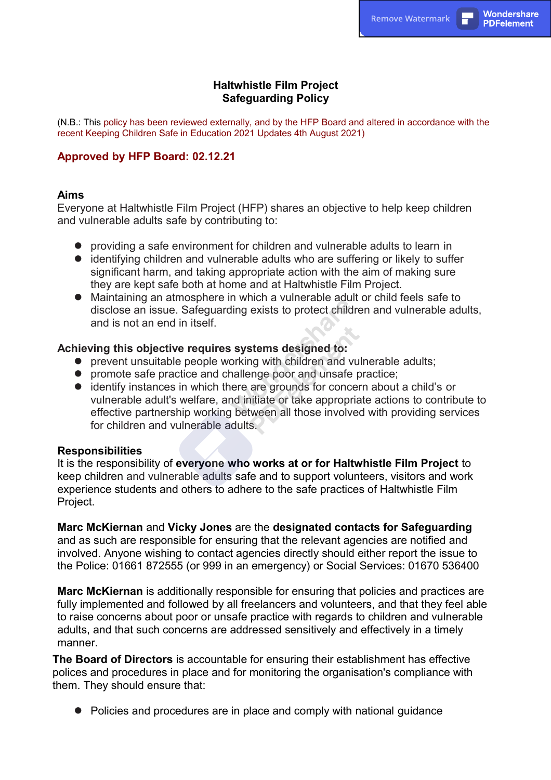## **Haltwhistle Film Project Safeguarding Policy**

(N.B.: This policy has been reviewed externally, and by the HFP Board and altered in accordance with the recent Keeping Children Safe in Education 2021 Updates 4th August 2021)

### **Approved by HFP Board: 02.12.21**

#### **Aims**

Everyone at Haltwhistle Film Project (HFP) shares an objective to help keep children and vulnerable adults safe by contributing to:

- providing a safe environment for children and vulnerable adults to learn in
- $\bullet$  identifying children and vulnerable adults who are suffering or likely to suffer significant harm, and taking appropriate action with the aim of making sure they are kept safe both at home and at Haltwhistle Film Project.
- Maintaining an atmosphere in which a vulnerable adult or child feels safe to disclose an issue. Safeguarding exists to protect children and vulnerable adults, and is not an end in itself.

#### **Achieving this objective requires systems designed to:**

- $\bullet$  prevent unsuitable people working with children and vulnerable adults;
- **•** promote safe practice and challenge poor and unsafe practice;
- identify instances in which there are grounds for concern about a child's or vulnerable adult's welfare, and initiate or take appropriate actions to contribute to effective partnership working between all those involved with providing services for children and vulnerable adults.

### **Responsibilities**

It is the responsibility of **everyone who works at or for Haltwhistle Film Project** to keep children and vulnerable adults safe and to support volunteers, visitors and work experience students and others to adhere to the safe practices of Haltwhistle Film Project.

**Marc McKiernan** and **Vicky Jones** are the **designated contacts for Safeguarding**  and as such are responsible for ensuring that the relevant agencies are notified and involved. Anyone wishing to contact agencies directly should either report the issue to the Police: 01661 872555 (or 999 in an emergency) or Social Services: 01670 536400

**Marc McKiernan** is additionally responsible for ensuring that policies and practices are fully implemented and followed by all freelancers and volunteers, and that they feel able to raise concerns about poor or unsafe practice with regards to children and vulnerable adults, and that such concerns are addressed sensitively and effectively in a timely manner.

**The Board of Directors** is accountable for ensuring their establishment has effective polices and procedures in place and for monitoring the organisation's compliance with them. They should ensure that:

• Policies and procedures are in place and comply with national guidance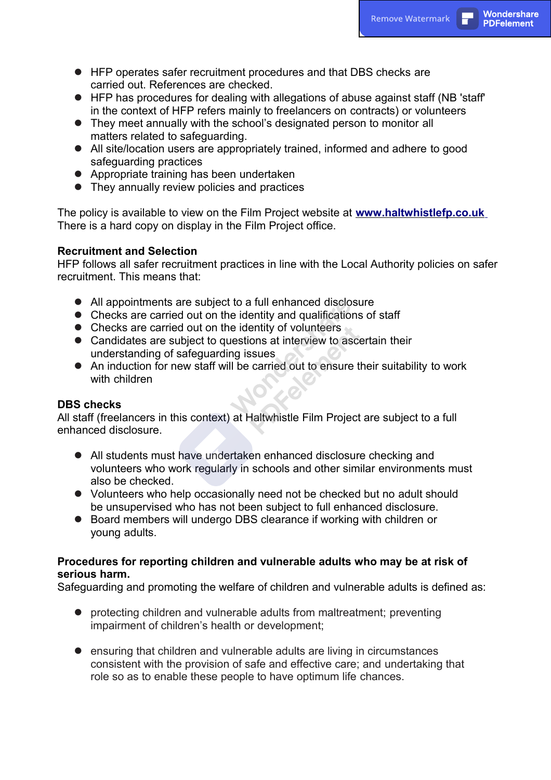- HFP operates safer recruitment procedures and that DBS checks are carried out. References are checked.
- $\bullet$  HFP has procedures for dealing with allegations of abuse against staff (NB 'staff' in the context of HFP refers mainly to freelancers on contracts) or volunteers
- They meet annually with the school's designated person to monitor all matters related to safeguarding.
- All site/location users are appropriately trained, informed and adhere to good safeguarding practices
- Appropriate training has been undertaken
- $\bullet$  They annually review policies and practices

The policy is available to view on the Film Project website at **[www.haltwhistlefp.co.uk](http://www.haltwhistlefp.co.uk/)** There is a hard copy on display in the Film Project office.

## **Recruitment and Selection**

HFP follows all safer recruitment practices in line with the Local Authority policies on safer recruitment. This means that:

- All appointments are subject to a full enhanced disclosure
- Checks are carried out on the identity and qualifications of staff
- $\bullet$  Checks are carried out on the identity of volunteers
- Candidates are subject to questions at interview to ascertain their understanding of safeguarding issues
- An induction for new staff will be carried out to ensure their suitability to work with children

### **DBS checks**

All staff (freelancers in this context) at Haltwhistle Film Project are subject to a full enhanced disclosure.

- All students must have undertaken enhanced disclosure checking and volunteers who work regularly in schools and other similar environments must also be checked.
- Volunteers who help occasionally need not be checked but no adult should be unsupervised who has not been subject to full enhanced disclosure.
- Board members will undergo DBS clearance if working with children or young adults.

## **Procedures for reporting children and vulnerable adults who may be at risk of serious harm.**

Safeguarding and promoting the welfare of children and vulnerable adults is defined as:

- protecting children and vulnerable adults from maltreatment; preventing impairment of children's health or development;
- ensuring that children and vulnerable adults are living in circumstances consistent with the provision of safe and effective care; and undertaking that role so as to enable these people to have optimum life chances.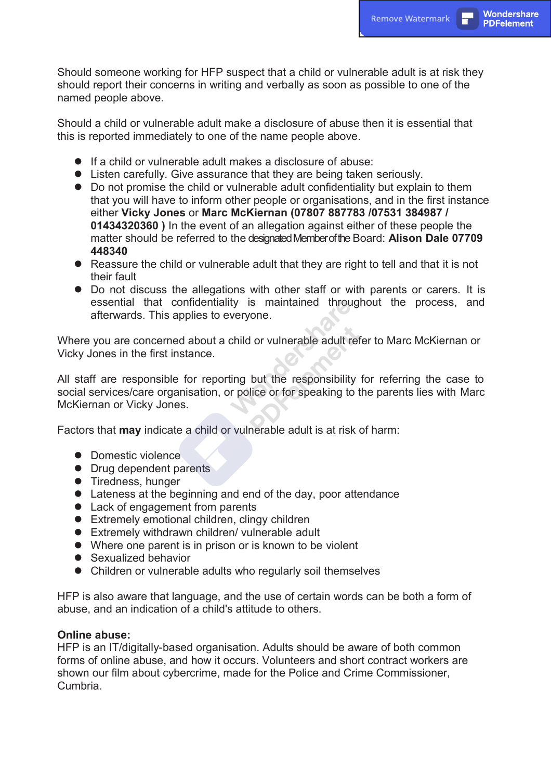Should someone working for HFP suspect that a child or vulnerable adult is at risk they should report their concerns in writing and verbally as soon as possible to one of the named people above.

Should a child or vulnerable adult make a disclosure of abuse then it is essential that this is reported immediately to one of the name people above.

- **.** If a child or vulnerable adult makes a disclosure of abuse:
- Listen carefully. Give assurance that they are being taken seriously.
- Do not promise the child or vulnerable adult confidentiality but explain to them that you will have to inform other people or organisations, and in the first instance either **Vicky Jones** or **Marc McKiernan (07807 887783 /07531 384987 / 01434320360 )** In the event of an allegation against either of these people the matter should be referred to the designated Member of the Board: **Alison Dale 07709 448340**
- Reassure the child or vulnerable adult that they are right to tell and that it is not their fault
- Do not discuss the allegations with other staff or with parents or carers. It is essential that confidentiality is maintained throughout the process, and afterwards. This applies to everyone.

Where you are concerned about a child or vulnerable adult refer to Marc McKiernan or Vicky Jones in the first instance.

All staff are responsible for reporting but the responsibility for referring the case to social services/care organisation, or police or for speaking to the parents lies with Marc McKiernan or Vicky Jones.

Factors that **may** indicate a child or vulnerable adult is at risk of harm:

- Domestic violence
- Drug dependent parents
- **•** Tiredness, hunger
- Lateness at the beginning and end of the day, poor attendance
- Lack of engagement from parents
- $\bullet$  Extremely emotional children, clingy children
- Extremely withdrawn children/ vulnerable adult
- Where one parent is in prison or is known to be violent
- Sexualized behavior
- Children or vulnerable adults who regularly soil themselves

HFP is also aware that language, and the use of certain words can be both a form of abuse, and an indication of a child's attitude to others.

#### **Online abuse:**

HFP is an IT/digitally-based organisation. Adults should be aware of both common forms of online abuse, and how it occurs. Volunteers and short contract workers are shown our film about cybercrime, made for the Police and Crime Commissioner, Cumbria.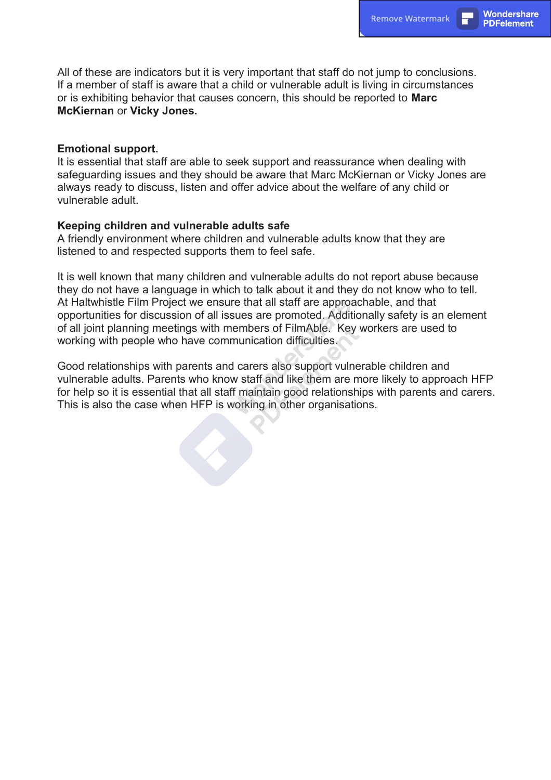All of these are indicators but it is very important that staff do not jump to conclusions. If a member of staff is aware that a child or vulnerable adult is living in circumstances or is exhibiting behavior that causes concern, this should be reported to **Marc McKiernan** or **Vicky Jones.**

#### **Emotional support.**

It is essential that staff are able to seek support and reassurance when dealing with safeguarding issues and they should be aware that Marc McKiernan or Vicky Jones are always ready to discuss, listen and offer advice about the welfare of any child or vulnerable adult.

#### **Keeping children and vulnerable adults safe**

A friendly environment where children and vulnerable adults know that they are listened to and respected supports them to feel safe.

It is well known that many children and vulnerable adults do not report abuse because they do not have a language in which to talk about it and they do not know who to tell. At Haltwhistle Film Project we ensure that all staff are approachable, and that opportunities for discussion of all issues are promoted. Additionally safety is an element of all joint planning meetings with members of FilmAble. Key workers are used to working with people who have communication difficulties.

Good relationships with parents and carers also support vulnerable children and vulnerable adults. Parents who know staff and like them are more likely to approach HFP for help so it is essential that all staff maintain good relationships with parents and carers. This is also the case when HFP is working in other organisations.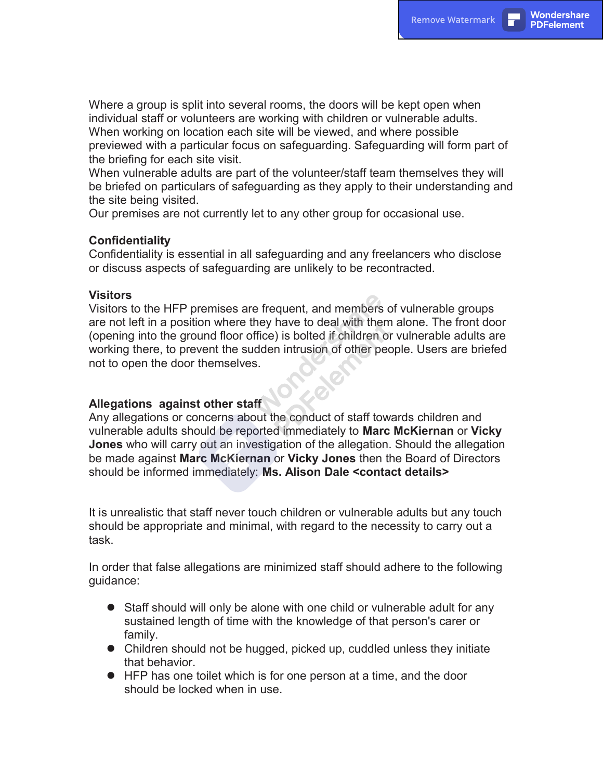Where a group is split into several rooms, the doors will be kept open when individual staff or volunteers are working with children or vulnerable adults. When working on location each site will be viewed, and where possible previewed with a particular focus on safeguarding. Safeguarding will form part of the briefing for each site visit.

When vulnerable adults are part of the volunteer/staff team themselves they will be briefed on particulars of safeguarding as they apply to their understanding and the site being visited.

Our premises are not currently let to any other group for occasional use.

## **Confidentiality**

Confidentiality is essential in all safeguarding and any freelancers who disclose or discuss aspects of safeguarding are unlikely to be recontracted.

#### **Visitors**

Visitors to the HFP premises are frequent, and members of vulnerable groups are not left in a position where they have to deal with them alone. The front door (opening into the ground floor office) is bolted if children or vulnerable adults are working there, to prevent the sudden intrusion of other people. Users are briefed not to open the door themselves.

### **Allegations against other staff**

Any allegations or concerns about the conduct of staff towards children and vulnerable adults should be reported immediately to **Marc McKiernan** or **Vicky Jones** who will carry out an investigation of the allegation. Should the allegation be made against **Marc McKiernan** or **Vicky Jones** then the Board of Directors should be informed immediately: **Ms. Alison Dale <contact details>**

It is unrealistic that staff never touch children or vulnerable adults but any touch should be appropriate and minimal, with regard to the necessity to carry out a task.

In order that false allegations are minimized staff should adhere to the following guidance:

- Staff should will only be alone with one child or vulnerable adult for any sustained length of time with the knowledge of that person's carer or family.
- Children should not be hugged, picked up, cuddled unless they initiate that behavior.
- **IFP has one toilet which is for one person at a time, and the door** should be locked when in use.